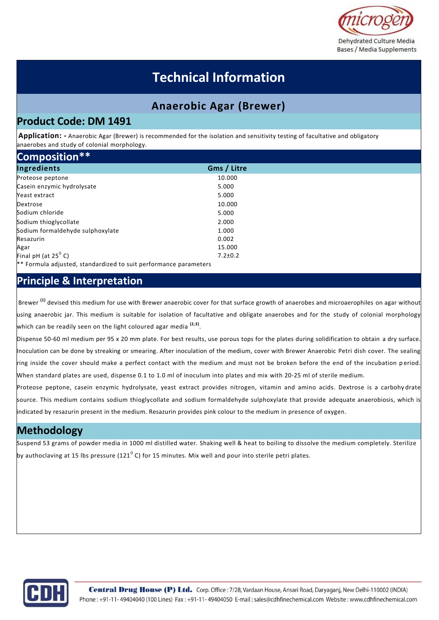

Dehydrated Culture Media Bases / Media Supplements

# **Technical Information**

## **Anaerobic Agar (Brewer)**

### **Product Code: DM 1491**

**Application: -** Anaerobic Agar (Brewer) is recommended for the isolation and sensitivity testing of facultative and obligatory anaerobes and study of colonial morphology.

| Composition**                                                    |               |  |  |
|------------------------------------------------------------------|---------------|--|--|
| Ingredients                                                      | Gms / Litre   |  |  |
| Proteose peptone                                                 | 10.000        |  |  |
| Casein enzymic hydrolysate                                       | 5.000         |  |  |
| Yeast extract                                                    | 5.000         |  |  |
| Dextrose                                                         | 10.000        |  |  |
| Sodium chloride                                                  | 5.000         |  |  |
| Sodium thioglycollate                                            | 2.000         |  |  |
| Sodium formaldehyde sulphoxylate                                 | 1.000         |  |  |
| Resazurin                                                        | 0.002         |  |  |
| Agar                                                             | 15.000        |  |  |
| Final pH (at $25^{\circ}$ C)                                     | $7.2 \pm 0.2$ |  |  |
| ** Formula adjusted, standardized to suit performance parameters |               |  |  |

### **Principle & Interpretation**

Brewer **(1)** devised this medium for use with Brewer anaerobic cover for that surface growth of anaerobes and microaerophiles on agar without using anaerobic jar. This medium is suitable for isolation of facultative and obligate anaerobes and for the study of colonial morphology which can be readily seen on the light coloured agar media **(2,3)** .

Dispense 50-60 ml medium per 95 x 20 mm plate. For best results, use porous tops for the plates during solidification to obtain a dry surface. Inoculation can be done by streaking or smearing. After inoculation of the medium, cover with Brewer Anaerobic Petri dish cover. The sealing ring inside the cover should make a perfect contact with the medium and must not be broken before the end of the incubation p eriod. When standard plates are used, dispense 0.1 to 1.0 ml of inoculum into plates and mix with 20-25 ml of sterile medium.

Proteose peptone, casein enzymic hydrolysate, yeast extract provides nitrogen, vitamin and amino acids. Dextrose is a carbohy drate source. This medium contains sodium thioglycollate and sodium formaldehyde sulphoxylate that provide adequate anaerobiosis, which is indicated by resazurin present in the medium. Resazurin provides pink colour to the medium in presence of oxygen.

### **Methodology**

Suspend 53 grams of powder media in 1000 ml distilled water. Shaking well & heat to boiling to dissolve the medium completely. Sterilize by authoclaving at 15 lbs pressure (121 $^{\text{o}}$  C) for 15 minutes. Mix well and pour into sterile petri plates.